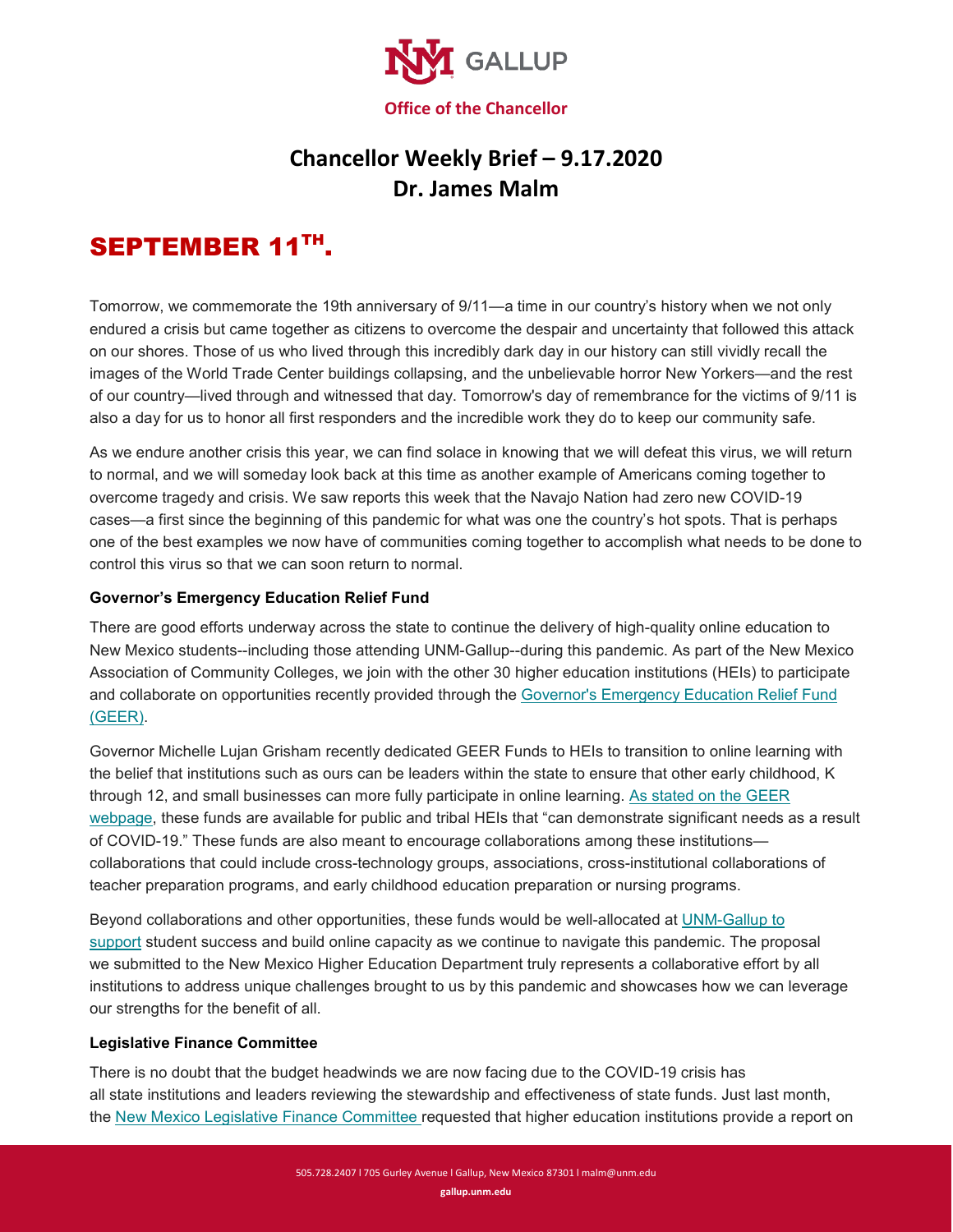

## **Chancellor Weekly Brief – 9.17.2020 Dr. James Malm**

# SEPTEMBER 11TH.

Tomorrow, we commemorate the 19th anniversary of 9/11—a time in our country's history when we not only endured a crisis but came together as citizens to overcome the despair and uncertainty that followed this attack on our shores. Those of us who lived through this incredibly dark day in our history can still vividly recall the images of the World Trade Center buildings collapsing, and the unbelievable horror New Yorkers—and the rest of our country—lived through and witnessed that day. Tomorrow's day of remembrance for the victims of 9/11 is also a day for us to honor all first responders and the incredible work they do to keep our community safe.

As we endure another crisis this year, we can find solace in knowing that we will defeat this virus, we will return to normal, and we will someday look back at this time as another example of Americans coming together to overcome tragedy and crisis. We saw reports this week that the Navajo Nation had zero new COVID-19 cases—a first since the beginning of this pandemic for what was one the country's hot spots. That is perhaps one of the best examples we now have of communities coming together to accomplish what needs to be done to control this virus so that we can soon return to normal.

#### **Governor's Emergency Education Relief Fund**

There are good efforts underway across the state to continue the delivery of high-quality online education to New Mexico students--including those attending UNM-Gallup--during this pandemic. As part of the New Mexico Association of Community Colleges, we join with the other 30 higher education institutions (HEIs) to participate and collaborate on opportunities recently provided through the [Governor's Emergency Education Relief Fund](https://gallup.unm.edu/pdfs/NM%20Higher%20Education%20GEER%20RFP.pdf)  [\(GEER\).](https://gallup.unm.edu/pdfs/NM%20Higher%20Education%20GEER%20RFP.pdf)

Governor Michelle Lujan Grisham recently dedicated GEER Funds to HEIs to transition to online learning with the belief that institutions such as ours can be leaders within the state to ensure that other early childhood, K through 12, and small businesses can more fully participate in online learning. [As stated on the GEER](https://hed.state.nm.us/governors-emergency-education-relief-fund-geer)  [webpage,](https://hed.state.nm.us/governors-emergency-education-relief-fund-geer) these funds are available for public and tribal HEIs that "can demonstrate significant needs as a result of COVID-19." These funds are also meant to encourage collaborations among these institutions collaborations that could include cross-technology groups, associations, cross-institutional collaborations of teacher preparation programs, and early childhood education preparation or nursing programs.

Beyond collaborations and other opportunities, these funds would be well-allocated at [UNM-Gallup to](https://gallup.unm.edu/pdfs/GEER%20Letter%20of%20Support%20UNMG.pdf)  [support](https://gallup.unm.edu/pdfs/GEER%20Letter%20of%20Support%20UNMG.pdf) student success and build online capacity as we continue to navigate this pandemic. The proposal we submitted to the New Mexico Higher Education Department truly represents a collaborative effort by all institutions to address unique challenges brought to us by this pandemic and showcases how we can leverage our strengths for the benefit of all.

#### **Legislative Finance Committee**

There is no doubt that the budget headwinds we are now facing due to the COVID-19 crisis has all state institutions and leaders reviewing the stewardship and effectiveness of state funds. Just last month, the [New Mexico Legislative Finance Committee](https://gallup.unm.edu/pdfs/20200908114938194.pdf) requested that higher education institutions provide a report on